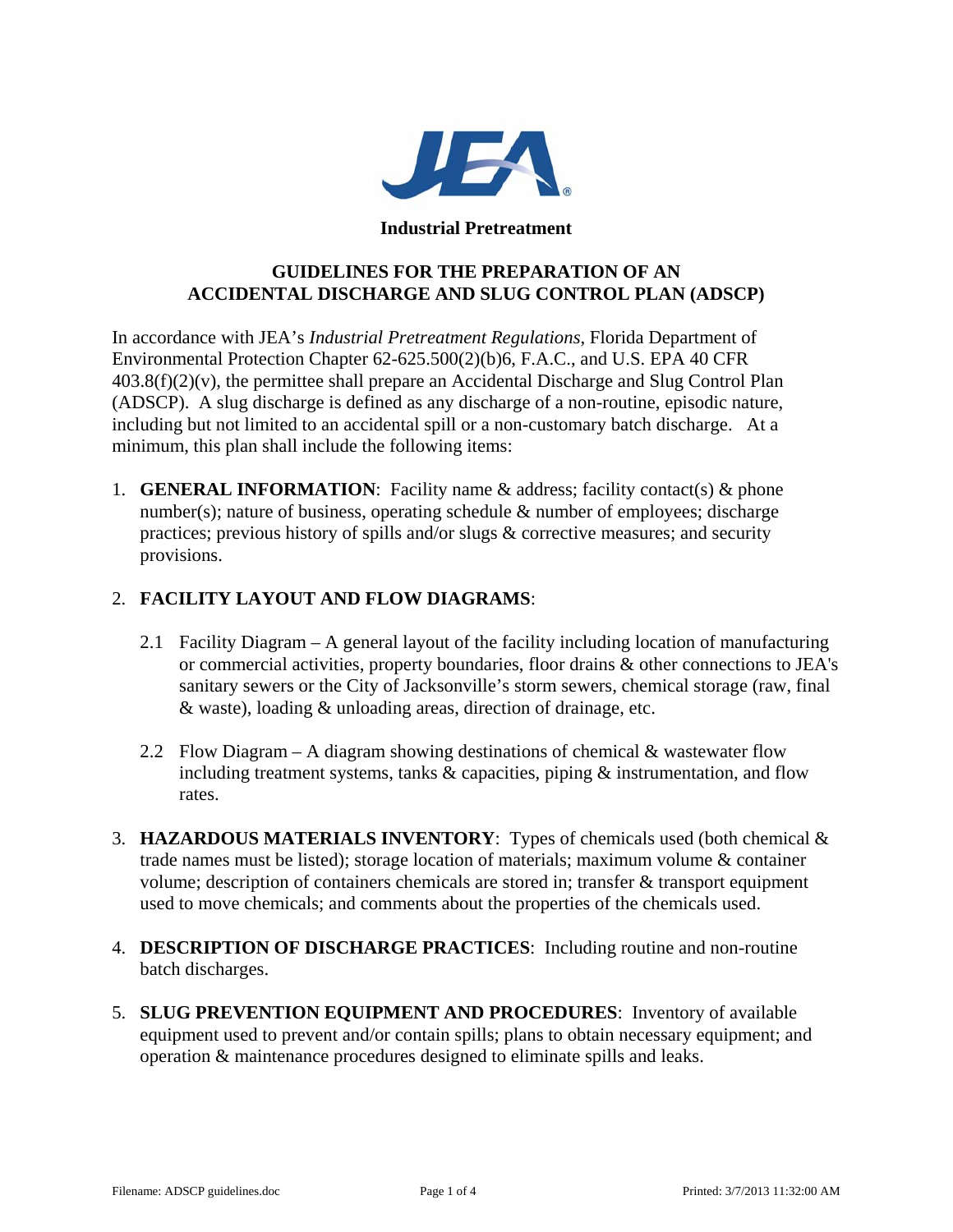

#### **Industrial Pretreatment**

# **GUIDELINES FOR THE PREPARATION OF AN ACCIDENTAL DISCHARGE AND SLUG CONTROL PLAN (ADSCP)**

In accordance with JEA's *Industrial Pretreatment Regulations*, Florida Department of Environmental Protection Chapter 62-625.500(2)(b)6, F.A.C., and U.S. EPA 40 CFR  $403.8(f)(2)(v)$ , the permittee shall prepare an Accidental Discharge and Slug Control Plan (ADSCP). A slug discharge is defined as any discharge of a non-routine, episodic nature, including but not limited to an accidental spill or a non-customary batch discharge. At a minimum, this plan shall include the following items:

1. **GENERAL INFORMATION**: Facility name  $\&$  address; facility contact(s)  $\&$  phone number(s); nature of business, operating schedule  $\&$  number of employees; discharge practices; previous history of spills and/or slugs & corrective measures; and security provisions.

# 2. **FACILITY LAYOUT AND FLOW DIAGRAMS**:

- 2.1 Facility Diagram A general layout of the facility including location of manufacturing or commercial activities, property boundaries, floor drains & other connections to JEA's sanitary sewers or the City of Jacksonville's storm sewers, chemical storage (raw, final & waste), loading & unloading areas, direction of drainage, etc.
- 2.2 Flow Diagram A diagram showing destinations of chemical  $\&$  wastewater flow including treatment systems, tanks & capacities, piping & instrumentation, and flow rates.
- 3. **HAZARDOUS MATERIALS INVENTORY**: Types of chemicals used (both chemical & trade names must be listed); storage location of materials; maximum volume & container volume; description of containers chemicals are stored in; transfer & transport equipment used to move chemicals; and comments about the properties of the chemicals used.
- 4. **DESCRIPTION OF DISCHARGE PRACTICES**: Including routine and non-routine batch discharges.
- 5. **SLUG PREVENTION EQUIPMENT AND PROCEDURES**: Inventory of available equipment used to prevent and/or contain spills; plans to obtain necessary equipment; and operation & maintenance procedures designed to eliminate spills and leaks.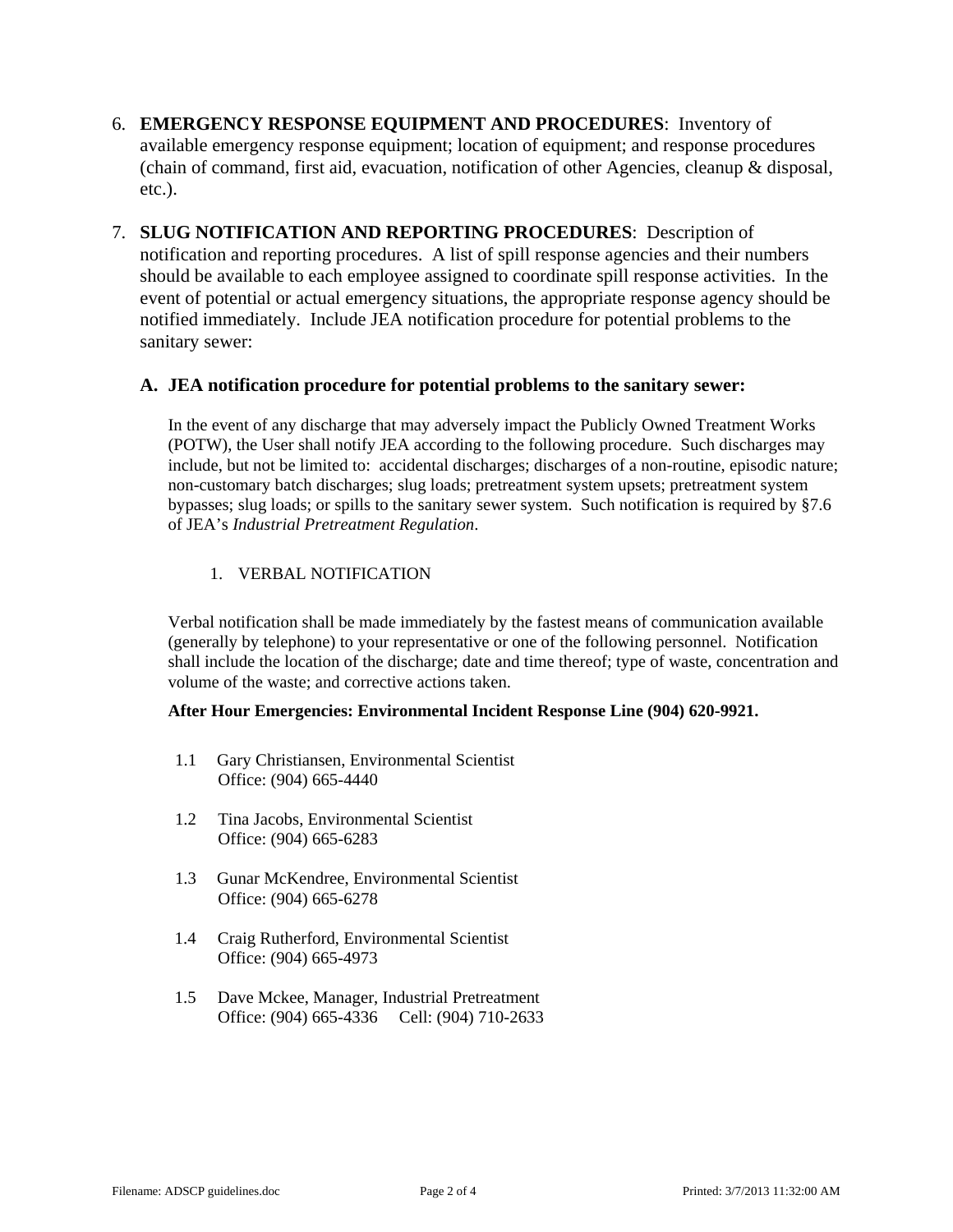- 6. **EMERGENCY RESPONSE EQUIPMENT AND PROCEDURES**: Inventory of available emergency response equipment; location of equipment; and response procedures (chain of command, first aid, evacuation, notification of other Agencies, cleanup & disposal, etc.).
- 7. **SLUG NOTIFICATION AND REPORTING PROCEDURES**: Description of notification and reporting procedures. A list of spill response agencies and their numbers should be available to each employee assigned to coordinate spill response activities. In the event of potential or actual emergency situations, the appropriate response agency should be notified immediately. Include JEA notification procedure for potential problems to the sanitary sewer:

## **A. JEA notification procedure for potential problems to the sanitary sewer:**

In the event of any discharge that may adversely impact the Publicly Owned Treatment Works (POTW), the User shall notify JEA according to the following procedure. Such discharges may include, but not be limited to: accidental discharges; discharges of a non-routine, episodic nature; non-customary batch discharges; slug loads; pretreatment system upsets; pretreatment system bypasses; slug loads; or spills to the sanitary sewer system. Such notification is required by §7.6 of JEA's *Industrial Pretreatment Regulation*.

## 1. VERBAL NOTIFICATION

Verbal notification shall be made immediately by the fastest means of communication available (generally by telephone) to your representative or one of the following personnel. Notification shall include the location of the discharge; date and time thereof; type of waste, concentration and volume of the waste; and corrective actions taken.

### **After Hour Emergencies: Environmental Incident Response Line (904) 620-9921.**

- 1.1 Gary Christiansen, Environmental Scientist Office: (904) 665-4440
- 1.2 Tina Jacobs, Environmental Scientist Office: (904) 665-6283
- 1.3 Gunar McKendree, Environmental Scientist Office: (904) 665-6278
- 1.4 Craig Rutherford, Environmental Scientist Office: (904) 665-4973
- 1.5 Dave Mckee, Manager, Industrial Pretreatment Office: (904) 665-4336 Cell: (904) 710-2633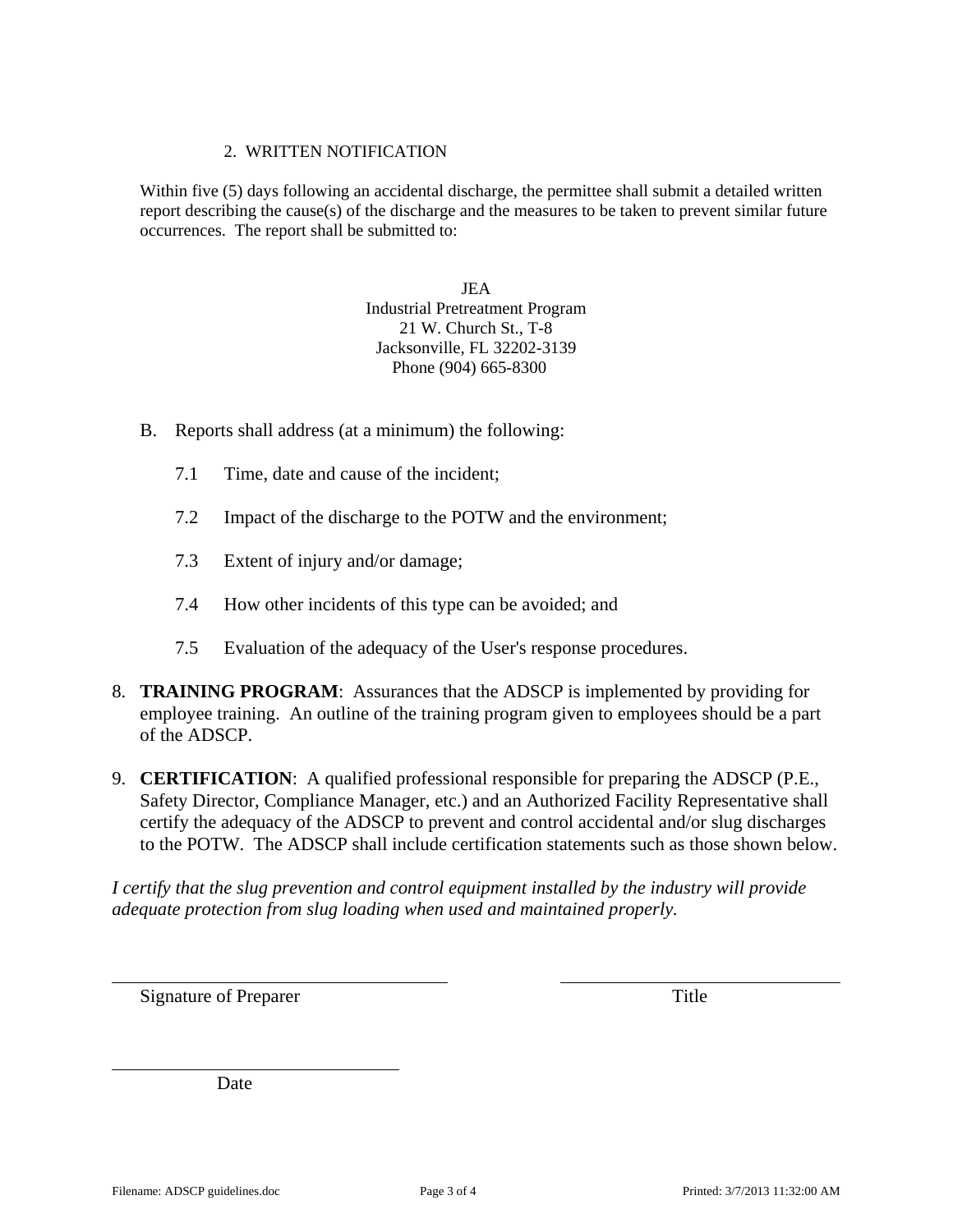### 2. WRITTEN NOTIFICATION

Within five (5) days following an accidental discharge, the permittee shall submit a detailed written report describing the cause(s) of the discharge and the measures to be taken to prevent similar future occurrences. The report shall be submitted to:

> JEA Industrial Pretreatment Program 21 W. Church St., T-8 Jacksonville, FL 32202-3139 Phone (904) 665-8300

- B. Reports shall address (at a minimum) the following:
	- 7.1 Time, date and cause of the incident;
	- 7.2 Impact of the discharge to the POTW and the environment;
	- 7.3 Extent of injury and/or damage;
	- 7.4 How other incidents of this type can be avoided; and
	- 7.5 Evaluation of the adequacy of the User's response procedures.
- 8. **TRAINING PROGRAM**: Assurances that the ADSCP is implemented by providing for employee training. An outline of the training program given to employees should be a part of the ADSCP.
- 9. **CERTIFICATION**: A qualified professional responsible for preparing the ADSCP (P.E., Safety Director, Compliance Manager, etc.) and an Authorized Facility Representative shall certify the adequacy of the ADSCP to prevent and control accidental and/or slug discharges to the POTW. The ADSCP shall include certification statements such as those shown below.

*I certify that the slug prevention and control equipment installed by the industry will provide adequate protection from slug loading when used and maintained properly.* 

Signature of Preparer Title

Date